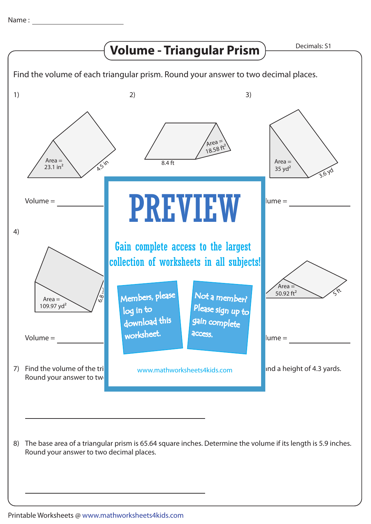